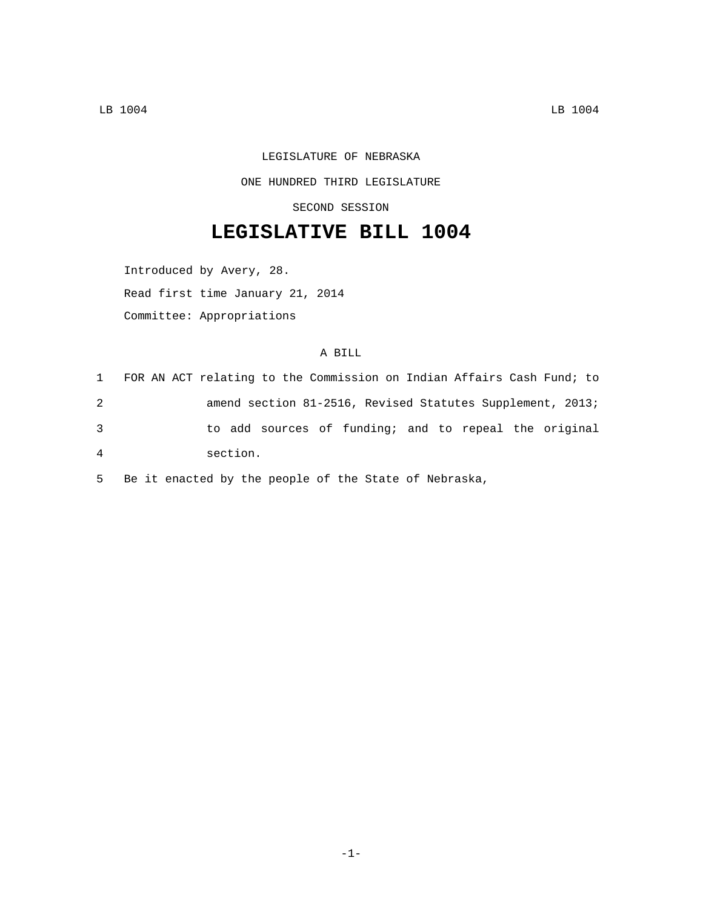## LEGISLATURE OF NEBRASKA ONE HUNDRED THIRD LEGISLATURE

SECOND SESSION

## **LEGISLATIVE BILL 1004**

Introduced by Avery, 28.

Read first time January 21, 2014

Committee: Appropriations

## A BILL

| $1 \quad$      | FOR AN ACT relating to the Commission on Indian Affairs Cash Fund; to |  |                                                           |
|----------------|-----------------------------------------------------------------------|--|-----------------------------------------------------------|
| 2              |                                                                       |  | amend section 81-2516, Revised Statutes Supplement, 2013; |
| 3              |                                                                       |  | to add sources of funding; and to repeal the original     |
| $\overline{4}$ | section.                                                              |  |                                                           |

5 Be it enacted by the people of the State of Nebraska,